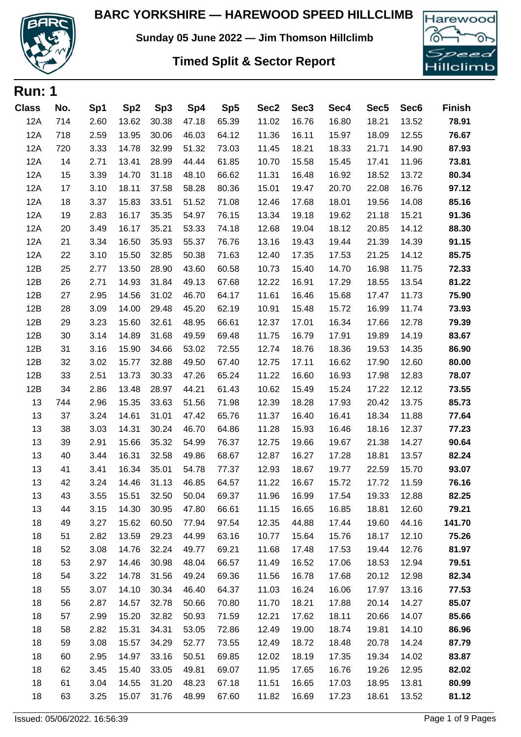

**Sunday 05 June 2022 — Jim Thomson Hillclimb**

## **Timed Split & Sector Report**



| <b>Run: 1</b> |     |      |                 |                 |       |       |                  |                  |       |                  |                  |               |
|---------------|-----|------|-----------------|-----------------|-------|-------|------------------|------------------|-------|------------------|------------------|---------------|
| <b>Class</b>  | No. | Sp1  | Sp <sub>2</sub> | Sp <sub>3</sub> | Sp4   | Sp5   | Sec <sub>2</sub> | Sec <sub>3</sub> | Sec4  | Sec <sub>5</sub> | Sec <sub>6</sub> | <b>Finish</b> |
| <b>12A</b>    | 714 | 2.60 | 13.62           | 30.38           | 47.18 | 65.39 | 11.02            | 16.76            | 16.80 | 18.21            | 13.52            | 78.91         |
| <b>12A</b>    | 718 | 2.59 | 13.95           | 30.06           | 46.03 | 64.12 | 11.36            | 16.11            | 15.97 | 18.09            | 12.55            | 76.67         |
| 12A           | 720 | 3.33 | 14.78           | 32.99           | 51.32 | 73.03 | 11.45            | 18.21            | 18.33 | 21.71            | 14.90            | 87.93         |
| <b>12A</b>    | 14  | 2.71 | 13.41           | 28.99           | 44.44 | 61.85 | 10.70            | 15.58            | 15.45 | 17.41            | 11.96            | 73.81         |
| <b>12A</b>    | 15  | 3.39 | 14.70           | 31.18           | 48.10 | 66.62 | 11.31            | 16.48            | 16.92 | 18.52            | 13.72            | 80.34         |
| 12A           | 17  | 3.10 | 18.11           | 37.58           | 58.28 | 80.36 | 15.01            | 19.47            | 20.70 | 22.08            | 16.76            | 97.12         |
| <b>12A</b>    | 18  | 3.37 | 15.83           | 33.51           | 51.52 | 71.08 | 12.46            | 17.68            | 18.01 | 19.56            | 14.08            | 85.16         |
| 12A           | 19  | 2.83 | 16.17           | 35.35           | 54.97 | 76.15 | 13.34            | 19.18            | 19.62 | 21.18            | 15.21            | 91.36         |
| <b>12A</b>    | 20  | 3.49 | 16.17           | 35.21           | 53.33 | 74.18 | 12.68            | 19.04            | 18.12 | 20.85            | 14.12            | 88.30         |
| 12A           | 21  | 3.34 | 16.50           | 35.93           | 55.37 | 76.76 | 13.16            | 19.43            | 19.44 | 21.39            | 14.39            | 91.15         |
| <b>12A</b>    | 22  | 3.10 | 15.50           | 32.85           | 50.38 | 71.63 | 12.40            | 17.35            | 17.53 | 21.25            | 14.12            | 85.75         |
| 12B           | 25  | 2.77 | 13.50           | 28.90           | 43.60 | 60.58 | 10.73            | 15.40            | 14.70 | 16.98            | 11.75            | 72.33         |
| 12B           | 26  | 2.71 | 14.93           | 31.84           | 49.13 | 67.68 | 12.22            | 16.91            | 17.29 | 18.55            | 13.54            | 81.22         |
| 12B           | 27  | 2.95 | 14.56           | 31.02           | 46.70 | 64.17 | 11.61            | 16.46            | 15.68 | 17.47            | 11.73            | 75.90         |
| 12B           | 28  | 3.09 | 14.00           | 29.48           | 45.20 | 62.19 | 10.91            | 15.48            | 15.72 | 16.99            | 11.74            | 73.93         |
| 12B           | 29  | 3.23 | 15.60           | 32.61           | 48.95 | 66.61 | 12.37            | 17.01            | 16.34 | 17.66            | 12.78            | 79.39         |
| 12B           | 30  | 3.14 | 14.89           | 31.68           | 49.59 | 69.48 | 11.75            | 16.79            | 17.91 | 19.89            | 14.19            | 83.67         |
| 12B           | 31  | 3.16 | 15.90           | 34.66           | 53.02 | 72.55 | 12.74            | 18.76            | 18.36 | 19.53            | 14.35            | 86.90         |
| 12B           | 32  | 3.02 | 15.77           | 32.88           | 49.50 | 67.40 | 12.75            | 17.11            | 16.62 | 17.90            | 12.60            | 80.00         |
| 12B           | 33  | 2.51 | 13.73           | 30.33           | 47.26 | 65.24 | 11.22            | 16.60            | 16.93 | 17.98            | 12.83            | 78.07         |
| 12B           | 34  | 2.86 | 13.48           | 28.97           | 44.21 | 61.43 | 10.62            | 15.49            | 15.24 | 17.22            | 12.12            | 73.55         |
| 13            | 744 | 2.96 | 15.35           | 33.63           | 51.56 | 71.98 | 12.39            | 18.28            | 17.93 | 20.42            | 13.75            | 85.73         |
| 13            | 37  | 3.24 | 14.61           | 31.01           | 47.42 | 65.76 | 11.37            | 16.40            | 16.41 | 18.34            | 11.88            | 77.64         |
| 13            | 38  | 3.03 | 14.31           | 30.24           | 46.70 | 64.86 | 11.28            | 15.93            | 16.46 | 18.16            | 12.37            | 77.23         |
| 13            | 39  | 2.91 | 15.66           | 35.32           | 54.99 | 76.37 | 12.75            | 19.66            | 19.67 | 21.38            | 14.27            | 90.64         |
| 13            | 40  | 3.44 | 16.31           | 32.58           | 49.86 | 68.67 | 12.87            | 16.27            | 17.28 | 18.81            | 13.57            | 82.24         |
| 13            | 41  | 3.41 | 16.34           | 35.01           | 54.78 | 77.37 | 12.93            | 18.67            | 19.77 | 22.59            | 15.70            | 93.07         |
| 13            | 42  | 3.24 | 14.46           | 31.13           | 46.85 | 64.57 | 11.22            | 16.67            | 15.72 | 17.72            | 11.59            | 76.16         |
| 13            | 43  | 3.55 | 15.51           | 32.50           | 50.04 | 69.37 | 11.96            | 16.99            | 17.54 | 19.33            | 12.88            | 82.25         |
| 13            | 44  | 3.15 | 14.30           | 30.95           | 47.80 | 66.61 | 11.15            | 16.65            | 16.85 | 18.81            | 12.60            | 79.21         |
| 18            | 49  | 3.27 | 15.62           | 60.50           | 77.94 | 97.54 | 12.35            | 44.88            | 17.44 | 19.60            | 44.16            | 141.70        |
| 18            | 51  | 2.82 | 13.59           | 29.23           | 44.99 | 63.16 | 10.77            | 15.64            | 15.76 | 18.17            | 12.10            | 75.26         |
| 18            | 52  | 3.08 | 14.76           | 32.24           | 49.77 | 69.21 | 11.68            | 17.48            | 17.53 | 19.44            | 12.76            | 81.97         |
| 18            | 53  | 2.97 | 14.46           | 30.98           | 48.04 | 66.57 | 11.49            | 16.52            | 17.06 | 18.53            | 12.94            | 79.51         |
| 18            | 54  | 3.22 | 14.78           | 31.56           | 49.24 | 69.36 | 11.56            | 16.78            | 17.68 | 20.12            | 12.98            | 82.34         |
| 18            | 55  | 3.07 | 14.10           | 30.34           | 46.40 | 64.37 | 11.03            | 16.24            | 16.06 | 17.97            | 13.16            | 77.53         |
| 18            | 56  | 2.87 | 14.57           | 32.78           | 50.66 | 70.80 | 11.70            | 18.21            | 17.88 | 20.14            | 14.27            | 85.07         |
| 18            | 57  | 2.99 | 15.20           | 32.82           | 50.93 | 71.59 | 12.21            | 17.62            | 18.11 | 20.66            | 14.07            | 85.66         |
| 18            | 58  | 2.82 | 15.31           | 34.31           | 53.05 | 72.86 | 12.49            | 19.00            | 18.74 | 19.81            | 14.10            | 86.96         |
| 18            | 59  | 3.08 | 15.57           | 34.29           | 52.77 | 73.55 | 12.49            | 18.72            | 18.48 | 20.78            | 14.24            | 87.79         |
| 18            | 60  | 2.95 | 14.97           | 33.16           | 50.51 | 69.85 | 12.02            | 18.19            | 17.35 | 19.34            | 14.02            | 83.87         |
| 18            | 62  | 3.45 | 15.40           | 33.05           | 49.81 | 69.07 | 11.95            | 17.65            | 16.76 | 19.26            | 12.95            | 82.02         |
| 18            | 61  | 3.04 | 14.55           | 31.20           | 48.23 | 67.18 | 11.51            | 16.65            | 17.03 | 18.95            | 13.81            | 80.99         |
| 18            | 63  | 3.25 | 15.07           | 31.76           | 48.99 | 67.60 | 11.82            | 16.69            | 17.23 | 18.61            | 13.52            | 81.12         |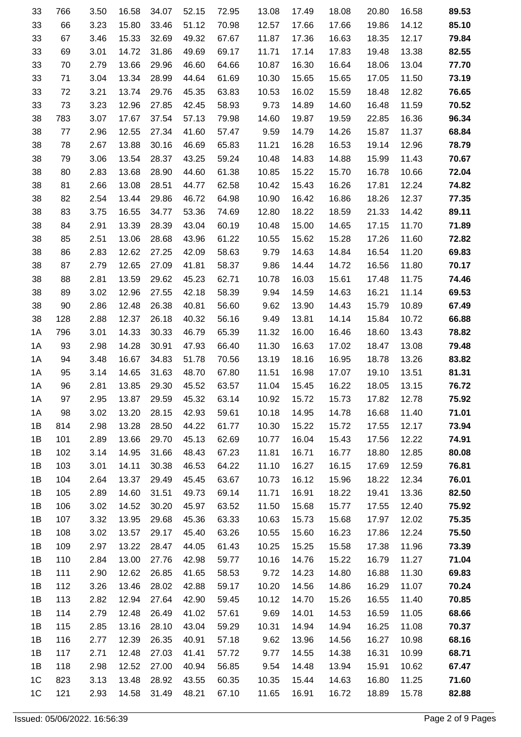| 33             | 766 | 3.50 | 16.58 | 34.07 | 52.15 | 72.95 | 13.08 | 17.49 | 18.08 | 20.80 | 16.58 | 89.53 |
|----------------|-----|------|-------|-------|-------|-------|-------|-------|-------|-------|-------|-------|
| 33             | 66  | 3.23 | 15.80 | 33.46 | 51.12 | 70.98 | 12.57 | 17.66 | 17.66 | 19.86 | 14.12 | 85.10 |
| 33             | 67  | 3.46 | 15.33 | 32.69 | 49.32 | 67.67 | 11.87 | 17.36 | 16.63 | 18.35 | 12.17 | 79.84 |
| 33             | 69  | 3.01 | 14.72 | 31.86 | 49.69 | 69.17 | 11.71 | 17.14 | 17.83 | 19.48 | 13.38 | 82.55 |
| 33             | 70  | 2.79 | 13.66 | 29.96 | 46.60 | 64.66 | 10.87 | 16.30 | 16.64 | 18.06 | 13.04 | 77.70 |
| 33             | 71  | 3.04 | 13.34 | 28.99 | 44.64 | 61.69 | 10.30 | 15.65 | 15.65 | 17.05 | 11.50 | 73.19 |
| 33             | 72  | 3.21 | 13.74 | 29.76 | 45.35 | 63.83 | 10.53 | 16.02 | 15.59 | 18.48 | 12.82 | 76.65 |
| 33             | 73  | 3.23 | 12.96 | 27.85 | 42.45 | 58.93 | 9.73  | 14.89 | 14.60 | 16.48 | 11.59 | 70.52 |
| 38             | 783 | 3.07 | 17.67 | 37.54 | 57.13 | 79.98 | 14.60 | 19.87 | 19.59 | 22.85 | 16.36 | 96.34 |
| 38             | 77  | 2.96 | 12.55 | 27.34 | 41.60 | 57.47 | 9.59  | 14.79 | 14.26 | 15.87 | 11.37 | 68.84 |
| 38             | 78  | 2.67 | 13.88 | 30.16 | 46.69 | 65.83 | 11.21 | 16.28 | 16.53 | 19.14 | 12.96 | 78.79 |
| 38             | 79  | 3.06 | 13.54 | 28.37 | 43.25 | 59.24 | 10.48 | 14.83 | 14.88 | 15.99 | 11.43 | 70.67 |
| 38             | 80  | 2.83 | 13.68 | 28.90 | 44.60 | 61.38 | 10.85 | 15.22 | 15.70 | 16.78 | 10.66 | 72.04 |
| 38             | 81  | 2.66 | 13.08 | 28.51 | 44.77 | 62.58 | 10.42 | 15.43 | 16.26 | 17.81 | 12.24 | 74.82 |
| 38             | 82  | 2.54 | 13.44 | 29.86 | 46.72 | 64.98 | 10.90 | 16.42 | 16.86 | 18.26 | 12.37 | 77.35 |
| 38             | 83  | 3.75 | 16.55 | 34.77 | 53.36 | 74.69 | 12.80 | 18.22 | 18.59 | 21.33 | 14.42 | 89.11 |
| 38             | 84  | 2.91 | 13.39 | 28.39 | 43.04 | 60.19 | 10.48 | 15.00 | 14.65 | 17.15 | 11.70 | 71.89 |
| 38             | 85  | 2.51 | 13.06 | 28.68 | 43.96 | 61.22 | 10.55 | 15.62 | 15.28 | 17.26 | 11.60 | 72.82 |
| 38             | 86  | 2.83 | 12.62 | 27.25 | 42.09 | 58.63 | 9.79  | 14.63 | 14.84 | 16.54 | 11.20 | 69.83 |
| 38             | 87  | 2.79 | 12.65 | 27.09 | 41.81 | 58.37 | 9.86  | 14.44 | 14.72 | 16.56 | 11.80 | 70.17 |
| 38             | 88  | 2.81 | 13.59 | 29.62 | 45.23 | 62.71 | 10.78 | 16.03 | 15.61 | 17.48 | 11.75 | 74.46 |
| 38             | 89  | 3.02 | 12.96 | 27.55 | 42.18 | 58.39 | 9.94  | 14.59 | 14.63 | 16.21 | 11.14 | 69.53 |
| 38             | 90  | 2.86 | 12.48 | 26.38 | 40.81 | 56.60 | 9.62  | 13.90 | 14.43 | 15.79 | 10.89 | 67.49 |
| 38             | 128 | 2.88 | 12.37 | 26.18 | 40.32 | 56.16 | 9.49  | 13.81 | 14.14 | 15.84 | 10.72 | 66.88 |
| 1A             | 796 | 3.01 | 14.33 | 30.33 | 46.79 | 65.39 | 11.32 | 16.00 | 16.46 | 18.60 | 13.43 | 78.82 |
| 1A             | 93  | 2.98 | 14.28 | 30.91 | 47.93 | 66.40 | 11.30 | 16.63 | 17.02 | 18.47 | 13.08 | 79.48 |
| 1A             | 94  | 3.48 | 16.67 | 34.83 | 51.78 | 70.56 | 13.19 | 18.16 | 16.95 | 18.78 | 13.26 | 83.82 |
| 1A             | 95  | 3.14 | 14.65 | 31.63 | 48.70 | 67.80 | 11.51 | 16.98 | 17.07 | 19.10 | 13.51 | 81.31 |
| 1A             | 96  | 2.81 | 13.85 | 29.30 | 45.52 | 63.57 | 11.04 | 15.45 | 16.22 | 18.05 | 13.15 | 76.72 |
| 1A             | 97  | 2.95 | 13.87 | 29.59 | 45.32 | 63.14 | 10.92 | 15.72 | 15.73 | 17.82 | 12.78 | 75.92 |
| 1A             | 98  | 3.02 | 13.20 | 28.15 | 42.93 | 59.61 | 10.18 | 14.95 | 14.78 | 16.68 | 11.40 | 71.01 |
| 1B             | 814 | 2.98 | 13.28 | 28.50 | 44.22 | 61.77 | 10.30 | 15.22 | 15.72 | 17.55 | 12.17 | 73.94 |
| 1B             | 101 | 2.89 | 13.66 | 29.70 | 45.13 | 62.69 | 10.77 | 16.04 | 15.43 | 17.56 | 12.22 | 74.91 |
| 1B             | 102 | 3.14 | 14.95 | 31.66 | 48.43 | 67.23 | 11.81 | 16.71 | 16.77 | 18.80 | 12.85 | 80.08 |
| 1B             | 103 | 3.01 | 14.11 | 30.38 | 46.53 | 64.22 | 11.10 | 16.27 | 16.15 | 17.69 | 12.59 | 76.81 |
| 1B             | 104 | 2.64 | 13.37 | 29.49 | 45.45 | 63.67 | 10.73 | 16.12 | 15.96 | 18.22 | 12.34 | 76.01 |
| 1B             | 105 | 2.89 | 14.60 | 31.51 | 49.73 | 69.14 | 11.71 | 16.91 | 18.22 | 19.41 | 13.36 | 82.50 |
| 1B             | 106 | 3.02 | 14.52 | 30.20 | 45.97 | 63.52 | 11.50 | 15.68 | 15.77 | 17.55 | 12.40 | 75.92 |
| 1B             | 107 | 3.32 | 13.95 | 29.68 | 45.36 | 63.33 | 10.63 | 15.73 | 15.68 | 17.97 | 12.02 | 75.35 |
| 1B             | 108 | 3.02 | 13.57 | 29.17 | 45.40 | 63.26 | 10.55 | 15.60 | 16.23 | 17.86 | 12.24 | 75.50 |
| 1B             | 109 | 2.97 | 13.22 | 28.47 | 44.05 | 61.43 | 10.25 | 15.25 | 15.58 | 17.38 | 11.96 | 73.39 |
| 1B             | 110 | 2.84 | 13.00 | 27.76 | 42.98 | 59.77 | 10.16 | 14.76 | 15.22 | 16.79 | 11.27 | 71.04 |
| 1B             | 111 | 2.90 | 12.62 | 26.85 | 41.65 | 58.53 | 9.72  | 14.23 | 14.80 | 16.88 | 11.30 | 69.83 |
| 1B             | 112 | 3.26 | 13.46 | 28.02 | 42.88 | 59.17 | 10.20 | 14.56 | 14.86 | 16.29 | 11.07 | 70.24 |
| 1B             | 113 | 2.82 | 12.94 | 27.64 | 42.90 | 59.45 | 10.12 | 14.70 | 15.26 | 16.55 | 11.40 | 70.85 |
| 1B             | 114 | 2.79 | 12.48 | 26.49 | 41.02 | 57.61 | 9.69  | 14.01 | 14.53 | 16.59 | 11.05 | 68.66 |
| 1B             | 115 | 2.85 | 13.16 | 28.10 | 43.04 | 59.29 | 10.31 | 14.94 | 14.94 | 16.25 | 11.08 | 70.37 |
| 1B             | 116 | 2.77 | 12.39 | 26.35 | 40.91 | 57.18 | 9.62  | 13.96 | 14.56 | 16.27 | 10.98 | 68.16 |
| 1B             | 117 | 2.71 | 12.48 | 27.03 | 41.41 | 57.72 | 9.77  | 14.55 | 14.38 | 16.31 | 10.99 | 68.71 |
| 1B             | 118 | 2.98 | 12.52 | 27.00 | 40.94 | 56.85 | 9.54  | 14.48 | 13.94 | 15.91 | 10.62 | 67.47 |
| 1 <sup>C</sup> | 823 | 3.13 | 13.48 | 28.92 | 43.55 | 60.35 | 10.35 | 15.44 | 14.63 | 16.80 | 11.25 | 71.60 |
| 1 <sup>C</sup> | 121 | 2.93 | 14.58 | 31.49 | 48.21 | 67.10 | 11.65 | 16.91 | 16.72 | 18.89 | 15.78 | 82.88 |
|                |     |      |       |       |       |       |       |       |       |       |       |       |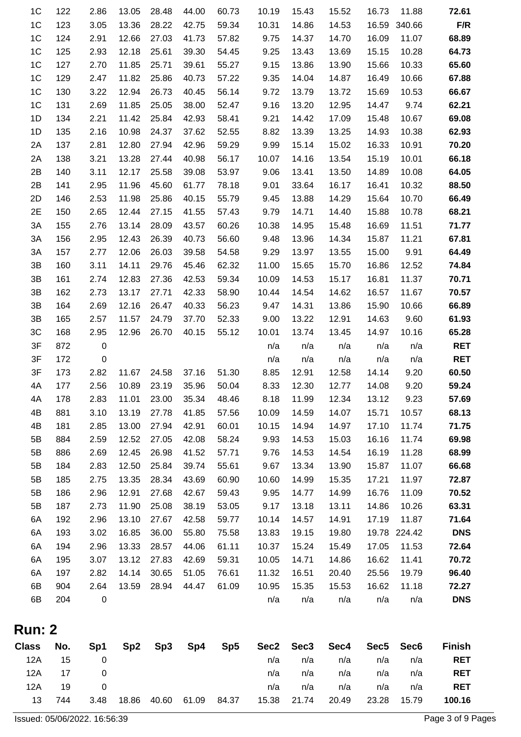| Class No.                        |            | Sp1              |                | $Sp2$ $Sp3$    |                | $Sp4$ $Sp5$    |                |                | Sec2 Sec3 Sec4 |                | Sec5 Sec6      | <b>Finish</b>  |
|----------------------------------|------------|------------------|----------------|----------------|----------------|----------------|----------------|----------------|----------------|----------------|----------------|----------------|
| <b>Run: 2</b>                    |            |                  |                |                |                |                |                |                |                |                |                |                |
|                                  |            |                  |                |                |                |                |                |                |                |                |                |                |
| 6B                               | 204        | $\mathbf 0$      |                |                |                |                | n/a            | n/a            | n/a            | n/a            | n/a            | <b>DNS</b>     |
| 6B                               | 904        | 2.64             | 13.59          | 28.94          | 44.47          | 61.09          | 10.95          | 15.35          | 15.53          | 16.62          | 11.18          | 72.27          |
| 6A<br>6A                         | 195<br>197 | 3.07<br>2.82     | 13.12<br>14.14 | 27.83<br>30.65 | 42.69<br>51.05 | 59.31<br>76.61 | 10.05<br>11.32 | 14.71<br>16.51 | 14.86<br>20.40 | 16.62<br>25.56 | 11.41<br>19.79 | 70.72<br>96.40 |
| 6A                               | 194        | 2.96             | 13.33          | 28.57          | 44.06          | 61.11          | 10.37          | 15.24          | 15.49          | 17.05          | 11.53          | 72.64          |
| 6A                               | 193        | 3.02             | 16.85          | 36.00          | 55.80          | 75.58          | 13.83          | 19.15          | 19.80          | 19.78          | 224.42         | <b>DNS</b>     |
| 6A                               | 192        | 2.96             | 13.10          | 27.67          | 42.58          | 59.77          | 10.14          | 14.57          | 14.91          | 17.19          | 11.87          | 71.64          |
| 5B                               | 187        | 2.73             | 11.90          | 25.08          | 38.19          | 53.05          | 9.17           | 13.18          | 13.11          | 14.86          | 10.26          | 63.31          |
| 5B                               | 186        | 2.96             | 12.91          | 27.68          | 42.67          | 59.43          | 9.95           | 14.77          | 14.99          | 16.76          | 11.09          | 70.52          |
| 5B                               | 185        | 2.75             | 13.35          | 28.34          | 43.69          | 60.90          | 10.60          | 14.99          | 15.35          | 17.21          | 11.97          | 72.87          |
| 5B                               | 184        | 2.83             | 12.50          | 25.84          | 39.74          | 55.61          | 9.67           | 13.34          | 13.90          | 15.87          | 11.07          | 66.68          |
| 5B                               | 886        | 2.69             | 12.45          | 26.98          | 41.52          | 57.71          | 9.76           | 14.53          | 14.54          | 16.19          | 11.28          | 68.99          |
| 5B                               | 884        | 2.59             | 12.52          | 27.05          | 42.08          | 58.24          | 9.93           | 14.53          | 15.03          | 16.16          | 11.74          | 69.98          |
| 4B                               | 181        | 2.85             | 13.00          | 27.94          | 42.91          | 60.01          | 10.15          | 14.94          | 14.97          | 17.10          | 11.74          | 71.75          |
| 4B                               | 881        | 3.10             | 13.19          | 27.78          | 41.85          | 57.56          | 10.09          | 14.59          | 14.07          | 15.71          | 10.57          | 68.13          |
| 4A                               | 178        | 2.83             | 11.01          | 23.00          | 35.34          | 48.46          | 8.18           | 11.99          | 12.34          | 13.12          | 9.23           | 57.69          |
| 4A                               | 177        | 2.56             | 10.89          | 23.19          | 35.96          | 50.04          | 8.33           | 12.30          | 12.77          | 14.08          | 9.20           | 59.24          |
| 3F                               | 173        | 2.82             | 11.67          | 24.58          | 37.16          | 51.30          | 8.85           | 12.91          | 12.58          | 14.14          | 9.20           | 60.50          |
| 3F                               | 172        | $\mathbf 0$      |                |                |                |                | n/a            | n/a            | n/a            | n/a            | n/a            | <b>RET</b>     |
| 3F                               | 872        | $\boldsymbol{0}$ |                |                |                |                | n/a            | n/a            | n/a            | n/a            | n/a            | <b>RET</b>     |
| 3C                               | 168        | 2.95             | 12.96          | 26.70          | 40.15          | 55.12          | 10.01          | 13.74          | 13.45          | 14.97          | 10.16          | 65.28          |
| 3B                               | 165        | 2.57             | 11.57          | 24.79          | 37.70          | 52.33          | 9.00           | 13.22          | 12.91          | 14.63          | 9.60           | 61.93          |
| 3B                               | 164        | 2.69             | 12.16          | 26.47          | 40.33          | 56.23          | 9.47           | 14.31          | 13.86          | 15.90          | 10.66          | 66.89          |
| 3B                               | 162        | 2.73             | 13.17          | 27.71          | 42.33          | 58.90          | 10.44          | 14.54          | 14.62          | 16.57          | 11.67          | 70.57          |
| 3B<br>3B                         | 160<br>161 | 3.11<br>2.74     | 14.11<br>12.83 | 29.76<br>27.36 | 45.46<br>42.53 | 62.32<br>59.34 | 11.00<br>10.09 | 15.65<br>14.53 | 15.70<br>15.17 | 16.86<br>16.81 | 12.52<br>11.37 | 74.84<br>70.71 |
| 3A                               | 157        | 2.77             | 12.06          | 26.03          | 39.58          | 54.58          | 9.29           | 13.97          | 13.55          | 15.00          | 9.91           | 64.49          |
| 3A                               | 156        | 2.95             | 12.43          | 26.39          | 40.73          | 56.60          | 9.48           | 13.96          | 14.34          | 15.87          | 11.21          | 67.81          |
| 3A                               | 155        | 2.76             | 13.14          | 28.09          | 43.57          | 60.26          | 10.38          | 14.95          | 15.48          | 16.69          | 11.51          | 71.77          |
| 2E                               | 150        | 2.65             | 12.44          | 27.15          | 41.55          | 57.43          | 9.79           | 14.71          | 14.40          | 15.88          | 10.78          | 68.21          |
| 2D                               | 146        | 2.53             | 11.98          | 25.86          | 40.15          | 55.79          | 9.45           | 13.88          | 14.29          | 15.64          | 10.70          | 66.49          |
| 2B                               | 141        | 2.95             | 11.96          | 45.60          | 61.77          | 78.18          | 9.01           | 33.64          | 16.17          | 16.41          | 10.32          | 88.50          |
| 2B                               | 140        | 3.11             | 12.17          | 25.58          | 39.08          | 53.97          | 9.06           | 13.41          | 13.50          | 14.89          | 10.08          | 64.05          |
| 2A                               | 138        | 3.21             | 13.28          | 27.44          | 40.98          | 56.17          | 10.07          | 14.16          | 13.54          | 15.19          | 10.01          | 66.18          |
| 2A                               | 137        | 2.81             | 12.80          | 27.94          | 42.96          | 59.29          | 9.99           | 15.14          | 15.02          | 16.33          | 10.91          | 70.20          |
| 1D                               | 135        | 2.16             | 10.98          | 24.37          | 37.62          | 52.55          | 8.82           | 13.39          | 13.25          | 14.93          | 10.38          | 62.93          |
| 1D                               | 134        | 2.21             | 11.42          | 25.84          | 42.93          | 58.41          | 9.21           | 14.42          | 17.09          | 15.48          | 10.67          | 69.08          |
| 1 <sup>C</sup>                   | 131        | 2.69             | 11.85          | 25.05          | 38.00          | 52.47          | 9.16           | 13.20          | 12.95          | 14.47          | 9.74           | 62.21          |
| 1 <sup>C</sup><br>1 <sup>C</sup> | 129<br>130 | 2.47<br>3.22     | 11.82<br>12.94 | 25.86<br>26.73 | 40.73<br>40.45 | 57.22<br>56.14 | 9.35<br>9.72   | 14.04<br>13.79 | 14.87<br>13.72 | 16.49<br>15.69 | 10.66<br>10.53 | 67.88<br>66.67 |
| 1 <sup>C</sup>                   | 127        | 2.70             | 11.85          | 25.71          | 39.61          | 55.27          | 9.15           | 13.86          | 13.90          | 15.66          | 10.33          | 65.60          |
| 1 <sup>C</sup>                   | 125        | 2.93             | 12.18          | 25.61          | 39.30          | 54.45          | 9.25           | 13.43          | 13.69          | 15.15          | 10.28          | 64.73          |
| 1 <sup>C</sup>                   | 124        | 2.91             | 12.66          | 27.03          | 41.73          | 57.82          | 9.75           | 14.37          | 14.70          | 16.09          | 11.07          | 68.89          |
| 1 <sup>C</sup>                   | 123        | 3.05             | 13.36          | 28.22          | 42.75          | 59.34          | 10.31          | 14.86          | 14.53          | 16.59          | 340.66         | F/R            |
| 1 <sup>C</sup>                   | 122        | 2.86             | 13.05          | 28.48          | 44.00          | 60.73          | 10.19          | 15.43          | 15.52          | 16.73          | 11.88          | 72.61          |

| Class | No.  | Sp1  | Sp2 Sp3 Sp4 |                         | Sp5 Sec2 Sec3 Sec4 Sec5 Sec6 |                   |     |             |     | <b>Finish</b> |
|-------|------|------|-------------|-------------------------|------------------------------|-------------------|-----|-------------|-----|---------------|
| 12A   | -15  |      |             |                         | n/a                          | n/a               | n/a | n/a         | n/a | <b>RET</b>    |
| 12A   | 17   |      |             |                         | n/a                          | n/a               | n/a | n/a         | n/a | <b>RET</b>    |
| 12A   | - 19 |      |             |                         | n/a                          | n/a               | n/a | n/a         | n/a | <b>RET</b>    |
| 13    | 744  | 3.48 |             | 18.86 40.60 61.09 84.37 |                              | 15.38 21.74 20.49 |     | 23.28 15.79 |     | 100.16        |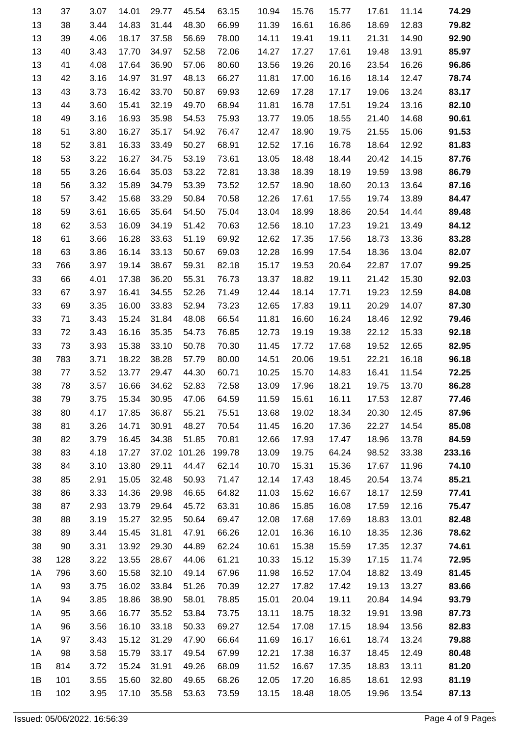| 13 | 37  | 3.07 | 14.01 | 29.77 | 45.54  | 63.15  | 10.94 | 15.76 | 15.77 | 17.61 | 11.14 | 74.29  |
|----|-----|------|-------|-------|--------|--------|-------|-------|-------|-------|-------|--------|
| 13 | 38  | 3.44 | 14.83 | 31.44 | 48.30  | 66.99  | 11.39 | 16.61 | 16.86 | 18.69 | 12.83 | 79.82  |
| 13 | 39  | 4.06 | 18.17 | 37.58 | 56.69  | 78.00  | 14.11 | 19.41 | 19.11 | 21.31 | 14.90 | 92.90  |
| 13 | 40  | 3.43 | 17.70 | 34.97 | 52.58  | 72.06  | 14.27 | 17.27 | 17.61 | 19.48 | 13.91 | 85.97  |
| 13 | 41  | 4.08 | 17.64 | 36.90 | 57.06  | 80.60  | 13.56 | 19.26 | 20.16 | 23.54 | 16.26 | 96.86  |
| 13 | 42  | 3.16 | 14.97 | 31.97 | 48.13  | 66.27  | 11.81 | 17.00 | 16.16 | 18.14 | 12.47 | 78.74  |
| 13 | 43  | 3.73 | 16.42 | 33.70 | 50.87  | 69.93  | 12.69 | 17.28 | 17.17 | 19.06 | 13.24 | 83.17  |
| 13 | 44  | 3.60 | 15.41 | 32.19 | 49.70  | 68.94  | 11.81 | 16.78 | 17.51 | 19.24 | 13.16 | 82.10  |
| 18 | 49  | 3.16 | 16.93 | 35.98 | 54.53  | 75.93  | 13.77 | 19.05 | 18.55 | 21.40 | 14.68 | 90.61  |
| 18 | 51  | 3.80 | 16.27 | 35.17 | 54.92  | 76.47  | 12.47 | 18.90 | 19.75 | 21.55 | 15.06 | 91.53  |
| 18 | 52  | 3.81 | 16.33 | 33.49 | 50.27  | 68.91  | 12.52 | 17.16 | 16.78 | 18.64 | 12.92 | 81.83  |
| 18 | 53  | 3.22 | 16.27 | 34.75 | 53.19  | 73.61  | 13.05 | 18.48 | 18.44 | 20.42 | 14.15 | 87.76  |
| 18 | 55  | 3.26 | 16.64 | 35.03 | 53.22  | 72.81  | 13.38 | 18.39 | 18.19 | 19.59 | 13.98 | 86.79  |
| 18 | 56  | 3.32 | 15.89 | 34.79 | 53.39  | 73.52  | 12.57 | 18.90 | 18.60 | 20.13 | 13.64 | 87.16  |
| 18 | 57  | 3.42 | 15.68 | 33.29 | 50.84  | 70.58  | 12.26 | 17.61 | 17.55 | 19.74 | 13.89 | 84.47  |
| 18 | 59  | 3.61 | 16.65 | 35.64 | 54.50  | 75.04  | 13.04 | 18.99 | 18.86 | 20.54 | 14.44 | 89.48  |
| 18 | 62  | 3.53 | 16.09 | 34.19 | 51.42  | 70.63  | 12.56 | 18.10 | 17.23 | 19.21 | 13.49 | 84.12  |
| 18 | 61  | 3.66 | 16.28 | 33.63 | 51.19  | 69.92  | 12.62 | 17.35 | 17.56 | 18.73 | 13.36 | 83.28  |
| 18 | 63  | 3.86 | 16.14 | 33.13 | 50.67  | 69.03  | 12.28 | 16.99 | 17.54 | 18.36 | 13.04 | 82.07  |
| 33 | 766 | 3.97 | 19.14 | 38.67 | 59.31  | 82.18  | 15.17 | 19.53 | 20.64 | 22.87 | 17.07 | 99.25  |
| 33 | 66  | 4.01 | 17.38 | 36.20 | 55.31  | 76.73  | 13.37 | 18.82 | 19.11 | 21.42 | 15.30 | 92.03  |
| 33 | 67  | 3.97 | 16.41 | 34.55 | 52.26  | 71.49  | 12.44 | 18.14 | 17.71 | 19.23 | 12.59 | 84.08  |
| 33 | 69  | 3.35 | 16.00 | 33.83 | 52.94  | 73.23  | 12.65 | 17.83 | 19.11 | 20.29 | 14.07 | 87.30  |
| 33 | 71  | 3.43 | 15.24 | 31.84 | 48.08  | 66.54  | 11.81 | 16.60 | 16.24 | 18.46 | 12.92 | 79.46  |
| 33 | 72  | 3.43 | 16.16 | 35.35 | 54.73  | 76.85  | 12.73 | 19.19 | 19.38 | 22.12 | 15.33 | 92.18  |
| 33 | 73  | 3.93 | 15.38 | 33.10 | 50.78  | 70.30  | 11.45 | 17.72 | 17.68 | 19.52 | 12.65 | 82.95  |
| 38 | 783 | 3.71 | 18.22 | 38.28 | 57.79  | 80.00  | 14.51 | 20.06 | 19.51 | 22.21 | 16.18 | 96.18  |
| 38 | 77  | 3.52 | 13.77 | 29.47 | 44.30  | 60.71  | 10.25 | 15.70 | 14.83 | 16.41 | 11.54 | 72.25  |
| 38 | 78  | 3.57 | 16.66 | 34.62 | 52.83  | 72.58  | 13.09 | 17.96 | 18.21 | 19.75 | 13.70 | 86.28  |
| 38 | 79  | 3.75 | 15.34 | 30.95 | 47.06  | 64.59  | 11.59 | 15.61 | 16.11 | 17.53 | 12.87 | 77.46  |
| 38 | 80  | 4.17 | 17.85 | 36.87 | 55.21  | 75.51  | 13.68 | 19.02 | 18.34 | 20.30 | 12.45 | 87.96  |
| 38 | 81  | 3.26 | 14.71 | 30.91 | 48.27  | 70.54  | 11.45 | 16.20 | 17.36 | 22.27 | 14.54 | 85.08  |
| 38 | 82  | 3.79 | 16.45 | 34.38 | 51.85  | 70.81  | 12.66 | 17.93 | 17.47 | 18.96 | 13.78 | 84.59  |
| 38 | 83  | 4.18 | 17.27 | 37.02 | 101.26 | 199.78 | 13.09 | 19.75 | 64.24 | 98.52 | 33.38 | 233.16 |
| 38 | 84  | 3.10 | 13.80 | 29.11 | 44.47  | 62.14  | 10.70 | 15.31 | 15.36 | 17.67 | 11.96 | 74.10  |
| 38 | 85  | 2.91 | 15.05 | 32.48 | 50.93  | 71.47  | 12.14 | 17.43 | 18.45 | 20.54 | 13.74 | 85.21  |
| 38 | 86  | 3.33 | 14.36 | 29.98 | 46.65  | 64.82  | 11.03 | 15.62 | 16.67 | 18.17 | 12.59 | 77.41  |
| 38 | 87  | 2.93 | 13.79 | 29.64 | 45.72  | 63.31  | 10.86 | 15.85 | 16.08 | 17.59 | 12.16 | 75.47  |
| 38 | 88  | 3.19 | 15.27 | 32.95 | 50.64  | 69.47  | 12.08 | 17.68 | 17.69 | 18.83 | 13.01 | 82.48  |
| 38 | 89  | 3.44 | 15.45 | 31.81 | 47.91  | 66.26  | 12.01 | 16.36 | 16.10 | 18.35 | 12.36 | 78.62  |
| 38 | 90  | 3.31 | 13.92 | 29.30 | 44.89  | 62.24  | 10.61 | 15.38 | 15.59 | 17.35 | 12.37 | 74.61  |
| 38 | 128 | 3.22 | 13.55 | 28.67 | 44.06  | 61.21  | 10.33 | 15.12 | 15.39 | 17.15 | 11.74 | 72.95  |
| 1A | 796 | 3.60 | 15.58 | 32.10 | 49.14  | 67.96  | 11.98 | 16.52 | 17.04 | 18.82 | 13.49 | 81.45  |
| 1A | 93  | 3.75 | 16.02 | 33.84 | 51.26  | 70.39  | 12.27 | 17.82 | 17.42 | 19.13 | 13.27 | 83.66  |
| 1A | 94  | 3.85 | 18.86 | 38.90 | 58.01  | 78.85  | 15.01 | 20.04 | 19.11 | 20.84 | 14.94 | 93.79  |
| 1A | 95  | 3.66 | 16.77 | 35.52 | 53.84  | 73.75  | 13.11 | 18.75 | 18.32 | 19.91 | 13.98 | 87.73  |
| 1A | 96  | 3.56 | 16.10 | 33.18 | 50.33  | 69.27  | 12.54 | 17.08 | 17.15 | 18.94 | 13.56 | 82.83  |
| 1A | 97  | 3.43 | 15.12 | 31.29 | 47.90  | 66.64  | 11.69 | 16.17 | 16.61 | 18.74 | 13.24 | 79.88  |
| 1A | 98  | 3.58 | 15.79 | 33.17 | 49.54  | 67.99  | 12.21 | 17.38 | 16.37 | 18.45 | 12.49 | 80.48  |
| 1B | 814 | 3.72 | 15.24 | 31.91 | 49.26  | 68.09  | 11.52 | 16.67 | 17.35 | 18.83 | 13.11 | 81.20  |
| 1B | 101 | 3.55 | 15.60 | 32.80 | 49.65  | 68.26  | 12.05 | 17.20 | 16.85 | 18.61 | 12.93 | 81.19  |
| 1B | 102 | 3.95 | 17.10 | 35.58 | 53.63  | 73.59  | 13.15 | 18.48 | 18.05 | 19.96 | 13.54 | 87.13  |
|    |     |      |       |       |        |        |       |       |       |       |       |        |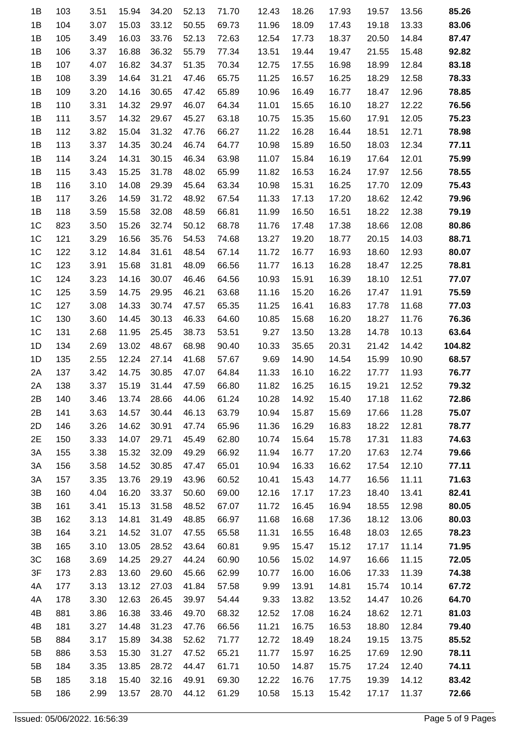| 1B             | 103 | 3.51 | 15.94 | 34.20 | 52.13 | 71.70 | 12.43 | 18.26 | 17.93 | 19.57 | 13.56 | 85.26  |
|----------------|-----|------|-------|-------|-------|-------|-------|-------|-------|-------|-------|--------|
| 1B             | 104 | 3.07 | 15.03 | 33.12 | 50.55 | 69.73 | 11.96 | 18.09 | 17.43 | 19.18 | 13.33 | 83.06  |
| 1B             | 105 | 3.49 | 16.03 | 33.76 | 52.13 | 72.63 | 12.54 | 17.73 | 18.37 | 20.50 | 14.84 | 87.47  |
| 1B             | 106 | 3.37 | 16.88 | 36.32 | 55.79 | 77.34 | 13.51 | 19.44 | 19.47 | 21.55 | 15.48 | 92.82  |
| 1B             | 107 | 4.07 | 16.82 | 34.37 | 51.35 | 70.34 | 12.75 | 17.55 | 16.98 | 18.99 | 12.84 | 83.18  |
| 1B             | 108 | 3.39 | 14.64 | 31.21 | 47.46 | 65.75 | 11.25 | 16.57 | 16.25 | 18.29 | 12.58 | 78.33  |
| 1B             | 109 | 3.20 | 14.16 | 30.65 | 47.42 | 65.89 | 10.96 | 16.49 | 16.77 | 18.47 | 12.96 | 78.85  |
| 1B             | 110 | 3.31 | 14.32 | 29.97 | 46.07 | 64.34 | 11.01 | 15.65 | 16.10 | 18.27 | 12.22 | 76.56  |
| 1B             | 111 | 3.57 | 14.32 | 29.67 | 45.27 | 63.18 | 10.75 | 15.35 | 15.60 | 17.91 | 12.05 | 75.23  |
| 1B             | 112 | 3.82 | 15.04 | 31.32 | 47.76 | 66.27 | 11.22 | 16.28 | 16.44 | 18.51 | 12.71 | 78.98  |
| 1B             | 113 | 3.37 | 14.35 | 30.24 | 46.74 | 64.77 | 10.98 | 15.89 | 16.50 | 18.03 | 12.34 | 77.11  |
| 1B             | 114 | 3.24 | 14.31 | 30.15 | 46.34 | 63.98 | 11.07 | 15.84 | 16.19 | 17.64 | 12.01 | 75.99  |
| 1B             | 115 | 3.43 | 15.25 | 31.78 | 48.02 | 65.99 | 11.82 | 16.53 | 16.24 | 17.97 | 12.56 | 78.55  |
| 1B             | 116 | 3.10 | 14.08 | 29.39 | 45.64 | 63.34 | 10.98 | 15.31 | 16.25 | 17.70 | 12.09 | 75.43  |
| 1B             | 117 | 3.26 | 14.59 | 31.72 | 48.92 | 67.54 | 11.33 | 17.13 | 17.20 | 18.62 | 12.42 | 79.96  |
| 1B             | 118 | 3.59 | 15.58 | 32.08 | 48.59 | 66.81 | 11.99 | 16.50 | 16.51 | 18.22 | 12.38 | 79.19  |
| 1 <sup>C</sup> | 823 | 3.50 | 15.26 | 32.74 | 50.12 | 68.78 | 11.76 | 17.48 | 17.38 | 18.66 | 12.08 | 80.86  |
| 1 <sup>C</sup> | 121 | 3.29 | 16.56 | 35.76 | 54.53 | 74.68 | 13.27 | 19.20 | 18.77 | 20.15 | 14.03 | 88.71  |
| 1 <sup>C</sup> | 122 | 3.12 | 14.84 | 31.61 | 48.54 | 67.14 | 11.72 | 16.77 | 16.93 | 18.60 | 12.93 | 80.07  |
| 1 <sup>C</sup> | 123 | 3.91 | 15.68 | 31.81 | 48.09 | 66.56 | 11.77 | 16.13 | 16.28 | 18.47 | 12.25 | 78.81  |
| 1 <sup>C</sup> | 124 | 3.23 | 14.16 | 30.07 | 46.46 | 64.56 | 10.93 | 15.91 | 16.39 | 18.10 | 12.51 | 77.07  |
| 1 <sup>C</sup> | 125 | 3.59 | 14.75 | 29.95 | 46.21 | 63.68 | 11.16 | 15.20 | 16.26 | 17.47 | 11.91 | 75.59  |
| 1 <sup>C</sup> | 127 | 3.08 | 14.33 | 30.74 | 47.57 | 65.35 | 11.25 | 16.41 | 16.83 | 17.78 | 11.68 | 77.03  |
| 1 <sup>C</sup> | 130 | 3.60 | 14.45 | 30.13 | 46.33 | 64.60 | 10.85 | 15.68 | 16.20 | 18.27 | 11.76 | 76.36  |
| 1 <sup>C</sup> | 131 | 2.68 | 11.95 | 25.45 | 38.73 | 53.51 | 9.27  | 13.50 | 13.28 | 14.78 | 10.13 | 63.64  |
| 1D             | 134 | 2.69 | 13.02 | 48.67 | 68.98 | 90.40 | 10.33 | 35.65 | 20.31 | 21.42 | 14.42 | 104.82 |
| 1D             | 135 | 2.55 | 12.24 | 27.14 | 41.68 | 57.67 | 9.69  | 14.90 | 14.54 | 15.99 | 10.90 | 68.57  |
| 2A             | 137 | 3.42 | 14.75 | 30.85 | 47.07 | 64.84 | 11.33 | 16.10 | 16.22 | 17.77 | 11.93 | 76.77  |
| 2A             | 138 | 3.37 | 15.19 | 31.44 | 47.59 | 66.80 | 11.82 | 16.25 | 16.15 | 19.21 | 12.52 | 79.32  |
| 2B             | 140 | 3.46 | 13.74 | 28.66 | 44.06 | 61.24 | 10.28 | 14.92 | 15.40 | 17.18 | 11.62 | 72.86  |
| 2B             | 141 | 3.63 | 14.57 | 30.44 | 46.13 | 63.79 | 10.94 | 15.87 | 15.69 | 17.66 | 11.28 | 75.07  |
| 2D             | 146 | 3.26 | 14.62 | 30.91 | 47.74 | 65.96 | 11.36 | 16.29 | 16.83 | 18.22 | 12.81 | 78.77  |
| 2E             | 150 | 3.33 | 14.07 | 29.71 | 45.49 | 62.80 | 10.74 | 15.64 | 15.78 | 17.31 | 11.83 | 74.63  |
| 3A             | 155 | 3.38 | 15.32 | 32.09 | 49.29 | 66.92 | 11.94 | 16.77 | 17.20 | 17.63 | 12.74 | 79.66  |
| 3A             | 156 | 3.58 | 14.52 | 30.85 | 47.47 | 65.01 | 10.94 | 16.33 | 16.62 | 17.54 | 12.10 | 77.11  |
| 3A             | 157 | 3.35 | 13.76 | 29.19 | 43.96 | 60.52 | 10.41 | 15.43 | 14.77 | 16.56 | 11.11 | 71.63  |
| 3B             | 160 | 4.04 | 16.20 | 33.37 | 50.60 | 69.00 | 12.16 | 17.17 | 17.23 | 18.40 | 13.41 | 82.41  |
| 3B             | 161 | 3.41 | 15.13 | 31.58 | 48.52 | 67.07 | 11.72 | 16.45 | 16.94 | 18.55 | 12.98 | 80.05  |
| 3B             | 162 | 3.13 | 14.81 | 31.49 | 48.85 | 66.97 | 11.68 | 16.68 | 17.36 | 18.12 | 13.06 | 80.03  |
| 3B             | 164 | 3.21 | 14.52 | 31.07 | 47.55 | 65.58 | 11.31 | 16.55 | 16.48 | 18.03 | 12.65 | 78.23  |
| 3B             | 165 | 3.10 | 13.05 | 28.52 | 43.64 | 60.81 | 9.95  | 15.47 | 15.12 | 17.17 | 11.14 | 71.95  |
| 3C             | 168 | 3.69 | 14.25 | 29.27 | 44.24 | 60.90 | 10.56 | 15.02 | 14.97 | 16.66 | 11.15 | 72.05  |
| 3F             | 173 | 2.83 | 13.60 | 29.60 | 45.66 | 62.99 | 10.77 | 16.00 | 16.06 | 17.33 | 11.39 | 74.38  |
| 4A             | 177 | 3.13 | 13.12 | 27.03 | 41.84 | 57.58 | 9.99  | 13.91 | 14.81 | 15.74 | 10.14 | 67.72  |
| 4A             | 178 | 3.30 | 12.63 | 26.45 | 39.97 | 54.44 | 9.33  | 13.82 | 13.52 | 14.47 | 10.26 | 64.70  |
| 4B             | 881 | 3.86 | 16.38 | 33.46 | 49.70 | 68.32 | 12.52 | 17.08 | 16.24 | 18.62 | 12.71 | 81.03  |
| 4B             | 181 | 3.27 | 14.48 | 31.23 | 47.76 | 66.56 | 11.21 | 16.75 | 16.53 | 18.80 | 12.84 | 79.40  |
| 5B             | 884 | 3.17 | 15.89 | 34.38 | 52.62 | 71.77 | 12.72 | 18.49 | 18.24 | 19.15 | 13.75 | 85.52  |
| 5B             | 886 | 3.53 | 15.30 | 31.27 | 47.52 | 65.21 | 11.77 | 15.97 | 16.25 | 17.69 | 12.90 | 78.11  |
| 5B             | 184 | 3.35 | 13.85 | 28.72 | 44.47 | 61.71 | 10.50 | 14.87 | 15.75 | 17.24 | 12.40 | 74.11  |
| 5B             | 185 | 3.18 | 15.40 | 32.16 | 49.91 | 69.30 | 12.22 | 16.76 | 17.75 | 19.39 | 14.12 | 83.42  |
| 5B             | 186 | 2.99 | 13.57 | 28.70 | 44.12 | 61.29 | 10.58 | 15.13 | 15.42 | 17.17 | 11.37 | 72.66  |
|                |     |      |       |       |       |       |       |       |       |       |       |        |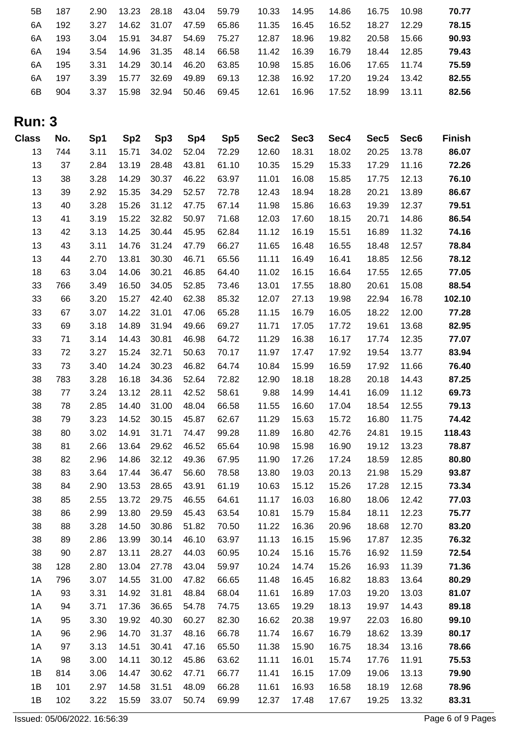| 5Β | 187 | 2.90 | 13.23 | 28.18       | 43.04 | 59.79 | 10.33 | 14.95 | 14.86 | 16.75 | 10.98 | 70.77 |
|----|-----|------|-------|-------------|-------|-------|-------|-------|-------|-------|-------|-------|
| 6A | 192 | 3.27 | 14.62 | 31.07       | 47.59 | 65.86 | 11.35 | 16.45 | 16.52 | 18.27 | 12.29 | 78.15 |
| 6A | 193 | 3.04 | 15.91 | 34.87       | 54.69 | 75.27 | 12.87 | 18.96 | 19.82 | 20.58 | 15.66 | 90.93 |
| 6A | 194 | 3.54 |       | 14.96 31.35 | 48.14 | 66.58 | 11.42 | 16.39 | 16.79 | 18.44 | 12.85 | 79.43 |
| 6A | 195 | 3.31 | 14.29 | 30.14       | 46.20 | 63.85 | 10.98 | 15.85 | 16.06 | 17.65 | 11.74 | 75.59 |
| 6Α | 197 | 3.39 | 15.77 | 32.69       | 49.89 | 69.13 | 12.38 | 16.92 | 17.20 | 19.24 | 13.42 | 82.55 |
| 6B | 904 | 3.37 | 15.98 | 32.94       | 50.46 | 69.45 | 12.61 | 16.96 | 17.52 | 18.99 | 13.11 | 82.56 |
|    |     |      |       |             |       |       |       |       |       |       |       |       |

## **Run: 3**

| <b>Class</b> | No. | Sp1  | Sp <sub>2</sub> | Sp <sub>3</sub> | Sp4   | Sp <sub>5</sub> | Sec2  | Sec <sub>3</sub> | Sec4  | Sec <sub>5</sub> | Sec <sub>6</sub> | <b>Finish</b> |
|--------------|-----|------|-----------------|-----------------|-------|-----------------|-------|------------------|-------|------------------|------------------|---------------|
| 13           | 744 | 3.11 | 15.71           | 34.02           | 52.04 | 72.29           | 12.60 | 18.31            | 18.02 | 20.25            | 13.78            | 86.07         |
| 13           | 37  | 2.84 | 13.19           | 28.48           | 43.81 | 61.10           | 10.35 | 15.29            | 15.33 | 17.29            | 11.16            | 72.26         |
| 13           | 38  | 3.28 | 14.29           | 30.37           | 46.22 | 63.97           | 11.01 | 16.08            | 15.85 | 17.75            | 12.13            | 76.10         |
| 13           | 39  | 2.92 | 15.35           | 34.29           | 52.57 | 72.78           | 12.43 | 18.94            | 18.28 | 20.21            | 13.89            | 86.67         |
| 13           | 40  | 3.28 | 15.26           | 31.12           | 47.75 | 67.14           | 11.98 | 15.86            | 16.63 | 19.39            | 12.37            | 79.51         |
| 13           | 41  | 3.19 | 15.22           | 32.82           | 50.97 | 71.68           | 12.03 | 17.60            | 18.15 | 20.71            | 14.86            | 86.54         |
| 13           | 42  | 3.13 | 14.25           | 30.44           | 45.95 | 62.84           | 11.12 | 16.19            | 15.51 | 16.89            | 11.32            | 74.16         |
| 13           | 43  | 3.11 | 14.76           | 31.24           | 47.79 | 66.27           | 11.65 | 16.48            | 16.55 | 18.48            | 12.57            | 78.84         |
| 13           | 44  | 2.70 | 13.81           | 30.30           | 46.71 | 65.56           | 11.11 | 16.49            | 16.41 | 18.85            | 12.56            | 78.12         |
| 18           | 63  | 3.04 | 14.06           | 30.21           | 46.85 | 64.40           | 11.02 | 16.15            | 16.64 | 17.55            | 12.65            | 77.05         |
| 33           | 766 | 3.49 | 16.50           | 34.05           | 52.85 | 73.46           | 13.01 | 17.55            | 18.80 | 20.61            | 15.08            | 88.54         |
| 33           | 66  | 3.20 | 15.27           | 42.40           | 62.38 | 85.32           | 12.07 | 27.13            | 19.98 | 22.94            | 16.78            | 102.10        |
| 33           | 67  | 3.07 | 14.22           | 31.01           | 47.06 | 65.28           | 11.15 | 16.79            | 16.05 | 18.22            | 12.00            | 77.28         |
| 33           | 69  | 3.18 | 14.89           | 31.94           | 49.66 | 69.27           | 11.71 | 17.05            | 17.72 | 19.61            | 13.68            | 82.95         |
| 33           | 71  | 3.14 | 14.43           | 30.81           | 46.98 | 64.72           | 11.29 | 16.38            | 16.17 | 17.74            | 12.35            | 77.07         |
| 33           | 72  | 3.27 | 15.24           | 32.71           | 50.63 | 70.17           | 11.97 | 17.47            | 17.92 | 19.54            | 13.77            | 83.94         |
| 33           | 73  | 3.40 | 14.24           | 30.23           | 46.82 | 64.74           | 10.84 | 15.99            | 16.59 | 17.92            | 11.66            | 76.40         |
| 38           | 783 | 3.28 | 16.18           | 34.36           | 52.64 | 72.82           | 12.90 | 18.18            | 18.28 | 20.18            | 14.43            | 87.25         |
| 38           | 77  | 3.24 | 13.12           | 28.11           | 42.52 | 58.61           | 9.88  | 14.99            | 14.41 | 16.09            | 11.12            | 69.73         |
| 38           | 78  | 2.85 | 14.40           | 31.00           | 48.04 | 66.58           | 11.55 | 16.60            | 17.04 | 18.54            | 12.55            | 79.13         |
| 38           | 79  | 3.23 | 14.52           | 30.15           | 45.87 | 62.67           | 11.29 | 15.63            | 15.72 | 16.80            | 11.75            | 74.42         |
| 38           | 80  | 3.02 | 14.91           | 31.71           | 74.47 | 99.28           | 11.89 | 16.80            | 42.76 | 24.81            | 19.15            | 118.43        |
| 38           | 81  | 2.66 | 13.64           | 29.62           | 46.52 | 65.64           | 10.98 | 15.98            | 16.90 | 19.12            | 13.23            | 78.87         |
| 38           | 82  | 2.96 | 14.86           | 32.12           | 49.36 | 67.95           | 11.90 | 17.26            | 17.24 | 18.59            | 12.85            | 80.80         |
| 38           | 83  | 3.64 | 17.44           | 36.47           | 56.60 | 78.58           | 13.80 | 19.03            | 20.13 | 21.98            | 15.29            | 93.87         |
| 38           | 84  | 2.90 | 13.53           | 28.65           | 43.91 | 61.19           | 10.63 | 15.12            | 15.26 | 17.28            | 12.15            | 73.34         |
| 38           | 85  | 2.55 | 13.72           | 29.75           | 46.55 | 64.61           | 11.17 | 16.03            | 16.80 | 18.06            | 12.42            | 77.03         |
| 38           | 86  | 2.99 | 13.80           | 29.59           | 45.43 | 63.54           | 10.81 | 15.79            | 15.84 | 18.11            | 12.23            | 75.77         |
| 38           | 88  | 3.28 | 14.50           | 30.86           | 51.82 | 70.50           | 11.22 | 16.36            | 20.96 | 18.68            | 12.70            | 83.20         |
| 38           | 89  | 2.86 | 13.99           | 30.14           | 46.10 | 63.97           | 11.13 | 16.15            | 15.96 | 17.87            | 12.35            | 76.32         |
| 38           | 90  | 2.87 | 13.11           | 28.27           | 44.03 | 60.95           | 10.24 | 15.16            | 15.76 | 16.92            | 11.59            | 72.54         |
| 38           | 128 | 2.80 | 13.04           | 27.78           | 43.04 | 59.97           | 10.24 | 14.74            | 15.26 | 16.93            | 11.39            | 71.36         |
| 1A           | 796 | 3.07 | 14.55           | 31.00           | 47.82 | 66.65           | 11.48 | 16.45            | 16.82 | 18.83            | 13.64            | 80.29         |
| 1A           | 93  | 3.31 | 14.92           | 31.81           | 48.84 | 68.04           | 11.61 | 16.89            | 17.03 | 19.20            | 13.03            | 81.07         |
| 1A           | 94  | 3.71 | 17.36           | 36.65           | 54.78 | 74.75           | 13.65 | 19.29            | 18.13 | 19.97            | 14.43            | 89.18         |
| 1A           | 95  | 3.30 | 19.92           | 40.30           | 60.27 | 82.30           | 16.62 | 20.38            | 19.97 | 22.03            | 16.80            | 99.10         |
| 1A           | 96  | 2.96 | 14.70           | 31.37           | 48.16 | 66.78           | 11.74 | 16.67            | 16.79 | 18.62            | 13.39            | 80.17         |
| 1A           | 97  | 3.13 | 14.51           | 30.41           | 47.16 | 65.50           | 11.38 | 15.90            | 16.75 | 18.34            | 13.16            | 78.66         |
| 1A           | 98  | 3.00 | 14.11           | 30.12           | 45.86 | 63.62           | 11.11 | 16.01            | 15.74 | 17.76            | 11.91            | 75.53         |
| 1B           | 814 | 3.06 | 14.47           | 30.62           | 47.71 | 66.77           | 11.41 | 16.15            | 17.09 | 19.06            | 13.13            | 79.90         |
| 1B           | 101 | 2.97 | 14.58           | 31.51           | 48.09 | 66.28           | 11.61 | 16.93            | 16.58 | 18.19            | 12.68            | 78.96         |
| 1B           | 102 | 3.22 | 15.59           | 33.07           | 50.74 | 69.99           | 12.37 | 17.48            | 17.67 | 19.25            | 13.32            | 83.31         |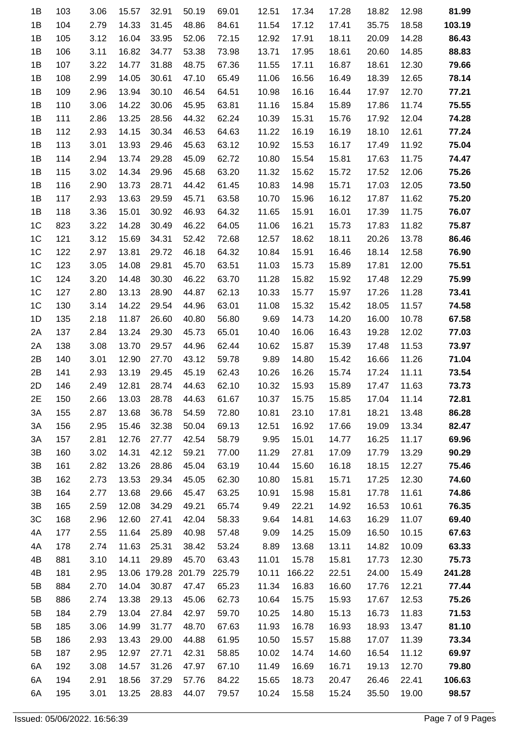| 1B             | 103 | 3.06 | 15.57 | 32.91        | 50.19  | 69.01  | 12.51 | 17.34  | 17.28 | 18.82 | 12.98 | 81.99  |
|----------------|-----|------|-------|--------------|--------|--------|-------|--------|-------|-------|-------|--------|
| 1B             | 104 | 2.79 | 14.33 | 31.45        | 48.86  | 84.61  | 11.54 | 17.12  | 17.41 | 35.75 | 18.58 | 103.19 |
| 1B             | 105 | 3.12 | 16.04 | 33.95        | 52.06  | 72.15  | 12.92 | 17.91  | 18.11 | 20.09 | 14.28 | 86.43  |
| 1B             | 106 | 3.11 | 16.82 | 34.77        | 53.38  | 73.98  | 13.71 | 17.95  | 18.61 | 20.60 | 14.85 | 88.83  |
| 1B             | 107 | 3.22 | 14.77 | 31.88        | 48.75  | 67.36  | 11.55 | 17.11  | 16.87 | 18.61 | 12.30 | 79.66  |
| 1B             | 108 | 2.99 | 14.05 | 30.61        | 47.10  | 65.49  | 11.06 | 16.56  | 16.49 | 18.39 | 12.65 | 78.14  |
| 1B             | 109 | 2.96 | 13.94 | 30.10        | 46.54  | 64.51  | 10.98 | 16.16  | 16.44 | 17.97 | 12.70 | 77.21  |
| 1B             | 110 | 3.06 | 14.22 | 30.06        | 45.95  | 63.81  | 11.16 | 15.84  | 15.89 | 17.86 | 11.74 | 75.55  |
| 1B             | 111 | 2.86 | 13.25 | 28.56        | 44.32  | 62.24  | 10.39 | 15.31  | 15.76 | 17.92 | 12.04 | 74.28  |
| 1B             | 112 | 2.93 | 14.15 | 30.34        | 46.53  | 64.63  | 11.22 | 16.19  | 16.19 | 18.10 | 12.61 | 77.24  |
| 1B             | 113 | 3.01 | 13.93 | 29.46        | 45.63  | 63.12  | 10.92 | 15.53  | 16.17 | 17.49 | 11.92 | 75.04  |
| 1B             | 114 | 2.94 | 13.74 | 29.28        | 45.09  | 62.72  | 10.80 | 15.54  | 15.81 | 17.63 | 11.75 | 74.47  |
| 1B             | 115 | 3.02 | 14.34 | 29.96        | 45.68  | 63.20  | 11.32 | 15.62  | 15.72 | 17.52 | 12.06 | 75.26  |
| 1B             | 116 | 2.90 | 13.73 | 28.71        | 44.42  | 61.45  | 10.83 | 14.98  | 15.71 | 17.03 | 12.05 | 73.50  |
| 1B             | 117 | 2.93 | 13.63 | 29.59        | 45.71  | 63.58  | 10.70 | 15.96  | 16.12 | 17.87 | 11.62 | 75.20  |
| 1B             | 118 | 3.36 | 15.01 | 30.92        | 46.93  | 64.32  | 11.65 | 15.91  | 16.01 | 17.39 | 11.75 | 76.07  |
| 1 <sup>C</sup> | 823 | 3.22 | 14.28 | 30.49        | 46.22  | 64.05  | 11.06 | 16.21  | 15.73 | 17.83 | 11.82 | 75.87  |
| 1 <sup>C</sup> | 121 | 3.12 | 15.69 | 34.31        | 52.42  | 72.68  | 12.57 | 18.62  | 18.11 | 20.26 | 13.78 | 86.46  |
| 1 <sup>C</sup> | 122 | 2.97 | 13.81 | 29.72        | 46.18  | 64.32  | 10.84 | 15.91  | 16.46 | 18.14 | 12.58 | 76.90  |
| 1 <sup>C</sup> | 123 | 3.05 | 14.08 | 29.81        | 45.70  | 63.51  | 11.03 | 15.73  | 15.89 | 17.81 | 12.00 | 75.51  |
| 1 <sup>C</sup> | 124 | 3.20 | 14.48 | 30.30        | 46.22  | 63.70  | 11.28 | 15.82  | 15.92 | 17.48 | 12.29 | 75.99  |
| 1 <sup>C</sup> | 127 | 2.80 | 13.13 | 28.90        | 44.87  | 62.13  | 10.33 | 15.77  | 15.97 | 17.26 | 11.28 | 73.41  |
| 1 <sup>C</sup> | 130 | 3.14 | 14.22 | 29.54        | 44.96  | 63.01  | 11.08 | 15.32  | 15.42 | 18.05 | 11.57 | 74.58  |
| 1D             | 135 | 2.18 | 11.87 | 26.60        | 40.80  | 56.80  | 9.69  | 14.73  | 14.20 | 16.00 | 10.78 | 67.58  |
| 2A             | 137 | 2.84 | 13.24 | 29.30        | 45.73  | 65.01  | 10.40 | 16.06  | 16.43 | 19.28 | 12.02 | 77.03  |
| 2A             | 138 | 3.08 | 13.70 | 29.57        | 44.96  | 62.44  | 10.62 | 15.87  | 15.39 | 17.48 | 11.53 | 73.97  |
| 2B             | 140 | 3.01 | 12.90 | 27.70        | 43.12  | 59.78  | 9.89  | 14.80  | 15.42 | 16.66 | 11.26 | 71.04  |
| 2B             | 141 | 2.93 | 13.19 | 29.45        | 45.19  | 62.43  | 10.26 | 16.26  | 15.74 | 17.24 | 11.11 | 73.54  |
| 2D             | 146 | 2.49 | 12.81 | 28.74        | 44.63  | 62.10  | 10.32 | 15.93  | 15.89 | 17.47 | 11.63 | 73.73  |
| 2E             | 150 | 2.66 | 13.03 | 28.78        | 44.63  | 61.67  | 10.37 | 15.75  | 15.85 | 17.04 | 11.14 | 72.81  |
| 3A             | 155 | 2.87 | 13.68 | 36.78        | 54.59  | 72.80  | 10.81 | 23.10  | 17.81 | 18.21 | 13.48 | 86.28  |
| 3A             | 156 | 2.95 | 15.46 | 32.38        | 50.04  | 69.13  | 12.51 | 16.92  | 17.66 | 19.09 | 13.34 | 82.47  |
| 3A             | 157 | 2.81 | 12.76 | 27.77        | 42.54  | 58.79  | 9.95  | 15.01  | 14.77 | 16.25 | 11.17 | 69.96  |
| 3B             | 160 | 3.02 | 14.31 | 42.12        | 59.21  | 77.00  | 11.29 | 27.81  | 17.09 | 17.79 | 13.29 | 90.29  |
| 3B             | 161 | 2.82 | 13.26 | 28.86        | 45.04  | 63.19  | 10.44 | 15.60  | 16.18 | 18.15 | 12.27 | 75.46  |
| 3B             | 162 | 2.73 | 13.53 | 29.34        | 45.05  | 62.30  | 10.80 | 15.81  | 15.71 | 17.25 | 12.30 | 74.60  |
| 3B             | 164 | 2.77 | 13.68 | 29.66        | 45.47  | 63.25  | 10.91 | 15.98  | 15.81 | 17.78 | 11.61 | 74.86  |
| 3B             | 165 | 2.59 | 12.08 | 34.29        | 49.21  | 65.74  | 9.49  | 22.21  | 14.92 | 16.53 | 10.61 | 76.35  |
| 3C             | 168 | 2.96 | 12.60 | 27.41        | 42.04  | 58.33  | 9.64  | 14.81  | 14.63 | 16.29 | 11.07 | 69.40  |
| 4A             | 177 | 2.55 | 11.64 | 25.89        | 40.98  | 57.48  | 9.09  | 14.25  | 15.09 | 16.50 | 10.15 | 67.63  |
| 4A             | 178 | 2.74 | 11.63 | 25.31        | 38.42  | 53.24  | 8.89  | 13.68  | 13.11 | 14.82 | 10.09 | 63.33  |
| 4B             | 881 | 3.10 | 14.11 | 29.89        | 45.70  | 63.43  | 11.01 | 15.78  | 15.81 | 17.73 | 12.30 | 75.73  |
| 4B             | 181 | 2.95 |       | 13.06 179.28 | 201.79 | 225.79 | 10.11 | 166.22 | 22.51 | 24.00 | 15.49 | 241.28 |
| 5B             | 884 | 2.70 | 14.04 | 30.87        | 47.47  | 65.23  | 11.34 | 16.83  | 16.60 | 17.76 | 12.21 | 77.44  |
| 5B             | 886 | 2.74 | 13.38 | 29.13        | 45.06  | 62.73  | 10.64 | 15.75  | 15.93 | 17.67 | 12.53 | 75.26  |
| 5B             | 184 | 2.79 | 13.04 | 27.84        | 42.97  | 59.70  | 10.25 | 14.80  | 15.13 | 16.73 | 11.83 | 71.53  |
|                |     |      |       |              |        |        |       |        |       |       |       |        |
| 5B             | 185 | 3.06 | 14.99 | 31.77        | 48.70  | 67.63  | 11.93 | 16.78  | 16.93 | 18.93 | 13.47 | 81.10  |
| 5B             | 186 | 2.93 | 13.43 | 29.00        | 44.88  | 61.95  | 10.50 | 15.57  | 15.88 | 17.07 | 11.39 | 73.34  |
| 5B             | 187 | 2.95 | 12.97 | 27.71        | 42.31  | 58.85  | 10.02 | 14.74  | 14.60 | 16.54 | 11.12 | 69.97  |
| 6A             | 192 | 3.08 | 14.57 | 31.26        | 47.97  | 67.10  | 11.49 | 16.69  | 16.71 | 19.13 | 12.70 | 79.80  |
| 6A             | 194 | 2.91 | 18.56 | 37.29        | 57.76  | 84.22  | 15.65 | 18.73  | 20.47 | 26.46 | 22.41 | 106.63 |
| 6A             | 195 | 3.01 | 13.25 | 28.83        | 44.07  | 79.57  | 10.24 | 15.58  | 15.24 | 35.50 | 19.00 | 98.57  |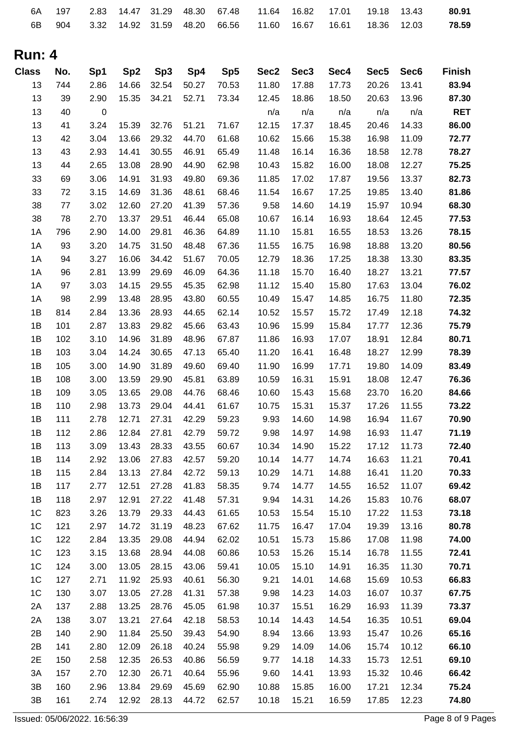| 6A             | 197 | 2.83             | 14.47           | 31.29           | 48.30          | 67.48 | 11.64            | 16.82            | 17.01 | 19.18            | 13.43            | 80.91          |
|----------------|-----|------------------|-----------------|-----------------|----------------|-------|------------------|------------------|-------|------------------|------------------|----------------|
| 6B             | 904 | 3.32             | 14.92           | 31.59           | 48.20          | 66.56 | 11.60            | 16.67            | 16.61 | 18.36            | 12.03            | 78.59          |
|                |     |                  |                 |                 |                |       |                  |                  |       |                  |                  |                |
| <b>Run: 4</b>  |     |                  |                 |                 |                |       |                  |                  |       |                  |                  |                |
|                |     |                  |                 |                 |                |       |                  |                  |       |                  |                  |                |
| <b>Class</b>   | No. | Sp1              | Sp <sub>2</sub> | Sp <sub>3</sub> | Sp4            | Sp5   | Sec <sub>2</sub> | Sec <sub>3</sub> | Sec4  | Sec <sub>5</sub> | Sec <sub>6</sub> | <b>Finish</b>  |
| 13             | 744 | 2.86             | 14.66           | 32.54           | 50.27          | 70.53 | 11.80            | 17.88            | 17.73 | 20.26            | 13.41            | 83.94          |
| 13             | 39  | 2.90             | 15.35           | 34.21           | 52.71          | 73.34 | 12.45            | 18.86            | 18.50 | 20.63            | 13.96            | 87.30          |
| 13             | 40  | $\boldsymbol{0}$ |                 |                 |                |       | n/a              | n/a              | n/a   | n/a              | n/a              | <b>RET</b>     |
| 13             | 41  | 3.24             | 15.39           | 32.76           | 51.21          | 71.67 | 12.15            | 17.37            | 18.45 | 20.46            | 14.33            | 86.00          |
| 13             | 42  | 3.04             | 13.66           | 29.32           | 44.70          | 61.68 | 10.62            | 15.66            | 15.38 | 16.98            | 11.09            | 72.77          |
| 13             | 43  | 2.93             | 14.41           | 30.55           | 46.91          | 65.49 | 11.48            | 16.14            | 16.36 | 18.58            | 12.78            | 78.27          |
| 13             | 44  | 2.65             | 13.08           | 28.90           | 44.90          | 62.98 | 10.43            | 15.82            | 16.00 | 18.08            | 12.27            | 75.25          |
| 33             | 69  | 3.06             | 14.91           | 31.93           | 49.80          | 69.36 | 11.85            | 17.02            | 17.87 | 19.56            | 13.37            | 82.73          |
| 33             | 72  | 3.15             | 14.69           | 31.36           | 48.61          | 68.46 | 11.54            | 16.67            | 17.25 | 19.85            | 13.40            | 81.86          |
| 38             | 77  | 3.02             | 12.60           | 27.20           | 41.39          | 57.36 | 9.58             | 14.60            | 14.19 | 15.97            | 10.94            | 68.30          |
| 38             | 78  | 2.70             | 13.37           | 29.51           | 46.44          | 65.08 | 10.67            | 16.14            | 16.93 | 18.64            | 12.45            | 77.53          |
| 1A             | 796 | 2.90             | 14.00           | 29.81           | 46.36          | 64.89 | 11.10            | 15.81            | 16.55 | 18.53            | 13.26            | 78.15          |
| 1A             | 93  | 3.20             | 14.75           | 31.50           | 48.48          | 67.36 | 11.55            | 16.75            | 16.98 | 18.88            | 13.20            | 80.56          |
| 1A             | 94  | 3.27             | 16.06           | 34.42           | 51.67          | 70.05 | 12.79            | 18.36            | 17.25 | 18.38            | 13.30            | 83.35          |
| 1A             | 96  | 2.81             | 13.99           | 29.69           | 46.09          | 64.36 | 11.18            | 15.70            | 16.40 | 18.27            | 13.21            | 77.57          |
| 1A             | 97  | 3.03             | 14.15           | 29.55           | 45.35          | 62.98 | 11.12            | 15.40            | 15.80 | 17.63            | 13.04            | 76.02          |
| 1A             | 98  | 2.99             | 13.48           | 28.95           | 43.80          | 60.55 | 10.49            | 15.47            | 14.85 | 16.75            | 11.80            | 72.35          |
| 1B             | 814 | 2.84             | 13.36           | 28.93           | 44.65          | 62.14 | 10.52            | 15.57            | 15.72 | 17.49            | 12.18            | 74.32          |
| 1B             | 101 | 2.87             | 13.83           | 29.82           | 45.66          | 63.43 | 10.96            | 15.99            | 15.84 | 17.77            | 12.36            | 75.79          |
| 1B             | 102 | 3.10             | 14.96           | 31.89           | 48.96          | 67.87 | 11.86            | 16.93            | 17.07 | 18.91            | 12.84            | 80.71          |
| 1B             | 103 | 3.04             | 14.24           | 30.65           | 47.13          | 65.40 | 11.20            | 16.41            | 16.48 | 18.27            | 12.99            | 78.39          |
| 1B             | 105 | 3.00             | 14.90           | 31.89           | 49.60          | 69.40 | 11.90            | 16.99            | 17.71 | 19.80            | 14.09            | 83.49          |
| 1B             | 108 | 3.00             | 13.59           | 29.90           | 45.81          | 63.89 | 10.59            | 16.31            | 15.91 | 18.08            | 12.47            | 76.36          |
| 1B             | 109 | 3.05             | 13.65           | 29.08           | 44.76          | 68.46 | 10.60            | 15.43            | 15.68 | 23.70            | 16.20            | 84.66          |
| 1B             | 110 | 2.98             | 13.73           | 29.04           | 44.41          | 61.67 | 10.75            | 15.31            | 15.37 | 17.26            | 11.55            | 73.22          |
| 1B             | 111 | 2.78             | 12.71           | 27.31           | 42.29          | 59.23 | 9.93             | 14.60            | 14.98 | 16.94            | 11.67            | 70.90          |
| 1B             | 112 | 2.86             | 12.84           | 27.81           | 42.79          | 59.72 | 9.98             | 14.97            | 14.98 | 16.93            | 11.47            | 71.19          |
| 1B             | 113 | 3.09             | 13.43           | 28.33           | 43.55          | 60.67 | 10.34            | 14.90            | 15.22 | 17.12            | 11.73            | 72.40          |
| 1B             | 114 | 2.92             | 13.06           | 27.83           | 42.57          | 59.20 | 10.14            | 14.77            | 14.74 | 16.63            | 11.21            | 70.41          |
| 1B             | 115 | 2.84             | 13.13           | 27.84           | 42.72          | 59.13 | 10.29            | 14.71            | 14.88 | 16.41            | 11.20            | 70.33          |
| 1B             | 117 | 2.77             | 12.51           | 27.28           | 41.83          | 58.35 | 9.74             | 14.77            | 14.55 | 16.52            | 11.07            | 69.42          |
| 1B             | 118 | 2.97             | 12.91           | 27.22           | 41.48          | 57.31 | 9.94             | 14.31            | 14.26 | 15.83            | 10.76            | 68.07          |
| 1 <sup>C</sup> | 823 | 3.26             | 13.79           | 29.33           | 44.43          | 61.65 | 10.53            | 15.54            | 15.10 | 17.22            | 11.53            | 73.18          |
| 1 <sup>C</sup> | 121 | 2.97             | 14.72           | 31.19           | 48.23          | 67.62 | 11.75            | 16.47            | 17.04 | 19.39            | 13.16            | 80.78          |
| 1 <sup>C</sup> | 122 | 2.84             | 13.35           | 29.08           | 44.94          | 62.02 | 10.51            | 15.73            | 15.86 | 17.08            | 11.98            | 74.00          |
| 1 <sup>C</sup> | 123 | 3.15             | 13.68           | 28.94           | 44.08          | 60.86 | 10.53            | 15.26            | 15.14 | 16.78            | 11.55            | 72.41          |
| 1 <sup>C</sup> | 124 | 3.00             | 13.05           | 28.15           | 43.06          | 59.41 | 10.05            | 15.10            | 14.91 | 16.35            | 11.30            | 70.71          |
| 1 <sup>C</sup> | 127 | 2.71             | 11.92           | 25.93           | 40.61          | 56.30 | 9.21             | 14.01            | 14.68 | 15.69            | 10.53            | 66.83          |
| 1 <sup>C</sup> | 130 | 3.07             | 13.05           | 27.28           | 41.31          | 57.38 | 9.98             | 14.23            | 14.03 | 16.07            | 10.37            | 67.75          |
| 2A             | 137 | 2.88             | 13.25           |                 |                |       | 10.37            | 15.51            | 16.29 | 16.93            | 11.39            |                |
|                | 138 |                  |                 | 28.76<br>27.64  | 45.05<br>42.18 | 61.98 | 10.14            |                  | 14.54 | 16.35            | 10.51            | 73.37<br>69.04 |
| 2A<br>2B       | 140 | 3.07             | 13.21           |                 |                | 58.53 |                  | 14.43            |       |                  |                  |                |
|                |     | 2.90             | 11.84           | 25.50           | 39.43          | 54.90 | 8.94             | 13.66            | 13.93 | 15.47            | 10.26            | 65.16          |
| 2B             | 141 | 2.80             | 12.09           | 26.18           | 40.24          | 55.98 | 9.29             | 14.09            | 14.06 | 15.74            | 10.12            | 66.10          |
| 2E             | 150 | 2.58             | 12.35           | 26.53           | 40.86          | 56.59 | 9.77             | 14.18            | 14.33 | 15.73            | 12.51            | 69.10          |
| 3A             | 157 | 2.70             | 12.30           | 26.71           | 40.64          | 55.96 | 9.60             | 14.41            | 13.93 | 15.32            | 10.46            | 66.42          |
| 3B             | 160 | 2.96             | 13.84           | 29.69           | 45.69          | 62.90 | 10.88            | 15.85            | 16.00 | 17.21            | 12.34            | 75.24          |
| 3B             | 161 | 2.74             | 12.92           | 28.13           | 44.72          | 62.57 | 10.18            | 15.21            | 16.59 | 17.85            | 12.23            | 74.80          |